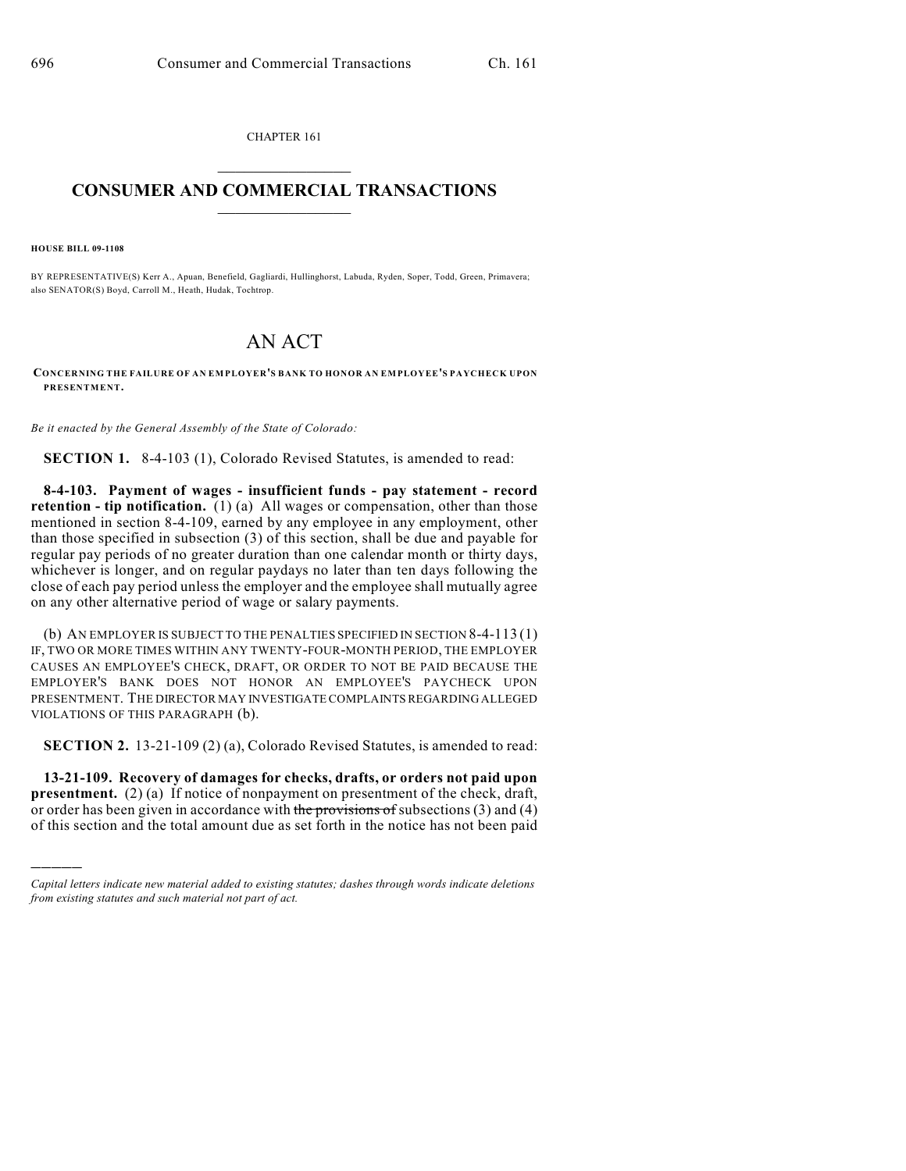CHAPTER 161  $\mathcal{L}_\text{max}$  . The set of the set of the set of the set of the set of the set of the set of the set of the set of the set of the set of the set of the set of the set of the set of the set of the set of the set of the set

## **CONSUMER AND COMMERCIAL TRANSACTIONS**  $\frac{1}{2}$  ,  $\frac{1}{2}$  ,  $\frac{1}{2}$  ,  $\frac{1}{2}$  ,  $\frac{1}{2}$  ,  $\frac{1}{2}$

**HOUSE BILL 09-1108**

)))))

BY REPRESENTATIVE(S) Kerr A., Apuan, Benefield, Gagliardi, Hullinghorst, Labuda, Ryden, Soper, Todd, Green, Primavera; also SENATOR(S) Boyd, Carroll M., Heath, Hudak, Tochtrop.

## AN ACT

**CONCERNING THE FAILURE OF AN EMPLOYER'S BANK TO HONOR AN EMPLOYEE'S PAYCHECK UPON PRESENTMENT.**

*Be it enacted by the General Assembly of the State of Colorado:*

**SECTION 1.** 8-4-103 (1), Colorado Revised Statutes, is amended to read:

**8-4-103. Payment of wages - insufficient funds - pay statement - record retention - tip notification.** (1) (a) All wages or compensation, other than those mentioned in section 8-4-109, earned by any employee in any employment, other than those specified in subsection (3) of this section, shall be due and payable for regular pay periods of no greater duration than one calendar month or thirty days, whichever is longer, and on regular paydays no later than ten days following the close of each pay period unless the employer and the employee shall mutually agree on any other alternative period of wage or salary payments.

(b) AN EMPLOYER IS SUBJECT TO THE PENALTIES SPECIFIED IN SECTION 8-4-113 (1) IF, TWO OR MORE TIMES WITHIN ANY TWENTY-FOUR-MONTH PERIOD, THE EMPLOYER CAUSES AN EMPLOYEE'S CHECK, DRAFT, OR ORDER TO NOT BE PAID BECAUSE THE EMPLOYER'S BANK DOES NOT HONOR AN EMPLOYEE'S PAYCHECK UPON PRESENTMENT. THE DIRECTOR MAY INVESTIGATE COMPLAINTS REGARDING ALLEGED VIOLATIONS OF THIS PARAGRAPH (b).

**SECTION 2.** 13-21-109 (2) (a), Colorado Revised Statutes, is amended to read:

**13-21-109. Recovery of damages for checks, drafts, or orders not paid upon presentment.** (2) (a) If notice of nonpayment on presentment of the check, draft, or order has been given in accordance with the provisions of subsections  $(3)$  and  $(4)$ of this section and the total amount due as set forth in the notice has not been paid

*Capital letters indicate new material added to existing statutes; dashes through words indicate deletions from existing statutes and such material not part of act.*